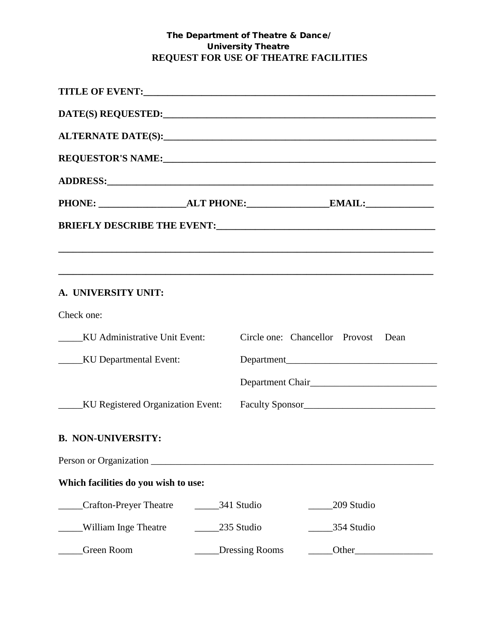### The Department of Theatre & Dance/ University Theatre **REQUEST FOR USE OF THEATRE FACILITIES**

| A. UNIVERSITY UNIT:                  |             |                |                                                                                                                |  |  |
|--------------------------------------|-------------|----------------|----------------------------------------------------------------------------------------------------------------|--|--|
| Check one:                           |             |                |                                                                                                                |  |  |
| KU Administrative Unit Event:        |             |                | Circle one: Chancellor Provost<br>Dean                                                                         |  |  |
| ______KU Departmental Event:         |             |                |                                                                                                                |  |  |
|                                      |             |                |                                                                                                                |  |  |
| KU Registered Organization Event:    |             |                |                                                                                                                |  |  |
|                                      |             |                |                                                                                                                |  |  |
| <b>B. NON-UNIVERSITY:</b>            |             |                |                                                                                                                |  |  |
|                                      |             |                |                                                                                                                |  |  |
| Which facilities do you wish to use: |             |                |                                                                                                                |  |  |
| <b>Crafton-Preyer Theatre</b>        | _341 Studio |                | 209 Studio                                                                                                     |  |  |
| <b>William Inge Theatre</b>          | 235 Studio  |                |                                                                                                                |  |  |
| Green Room                           |             | Dressing Rooms | Other Delta Control Control Control Control Control Control Control Control Control Control Control Control Co |  |  |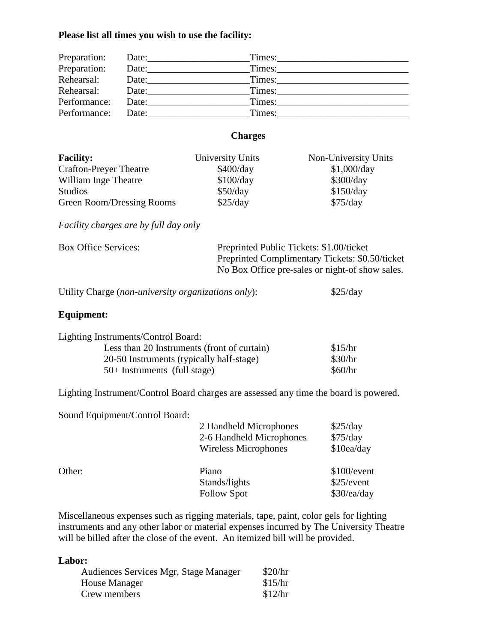#### **Please list all times you wish to use the facility:**

| Preparation: | Date: | Times: |
|--------------|-------|--------|
| Preparation: | Date: | Times: |
| Rehearsal:   | Date: | Times: |
| Rehearsal:   | Date: | Times: |
| Performance: | Date: | Times: |
| Performance: | Date: | Times: |

#### **Charges**

| <b>Facility:</b>              | University Units | Non-University Units |
|-------------------------------|------------------|----------------------|
| <b>Crafton-Preyer Theatre</b> | \$400/day        | \$1,000/day          |
| William Inge Theatre          | \$100/day        | \$300/day            |
| <b>Studios</b>                | \$50/day         | \$150/day            |
| Green Room/Dressing Rooms     | \$25/day         | \$75/day             |

*Facility charges are by full day only*

| <b>Box Office Services:</b> | Preprinted Public Tickets: \$1.00/ticket        |
|-----------------------------|-------------------------------------------------|
|                             | Preprinted Complimentary Tickets: \$0.50/ticket |
|                             | No Box Office pre-sales or night-of show sales. |
|                             |                                                 |

Utility Charge (*non-university organizations only*): \$25/day

### **Equipment:**

| Lighting Instruments/Control Board:         |         |
|---------------------------------------------|---------|
| Less than 20 Instruments (front of curtain) | \$15/hr |
| 20-50 Instruments (typically half-stage)    | \$30/hr |
| $50+$ Instruments (full stage)              | \$60/hr |

Lighting Instrument/Control Board charges are assessed any time the board is powered.

Sound Equipment/Control Board:

|        | 2 Handheld Microphones<br>2-6 Handheld Microphones<br><b>Wireless Microphones</b> | \$25/day<br>\$75/day<br>\$10ea/day       |
|--------|-----------------------------------------------------------------------------------|------------------------------------------|
| Other: | Piano<br>Stands/lights<br><b>Follow Spot</b>                                      | \$100/event<br>\$25/event<br>\$30/ea/day |

Miscellaneous expenses such as rigging materials, tape, paint, color gels for lighting instruments and any other labor or material expenses incurred by The University Theatre will be billed after the close of the event. An itemized bill will be provided.

| Labor:                                |         |
|---------------------------------------|---------|
| Audiences Services Mgr, Stage Manager | \$20/hr |
| <b>House Manager</b>                  | \$15/hr |
| Crew members                          | \$12/hr |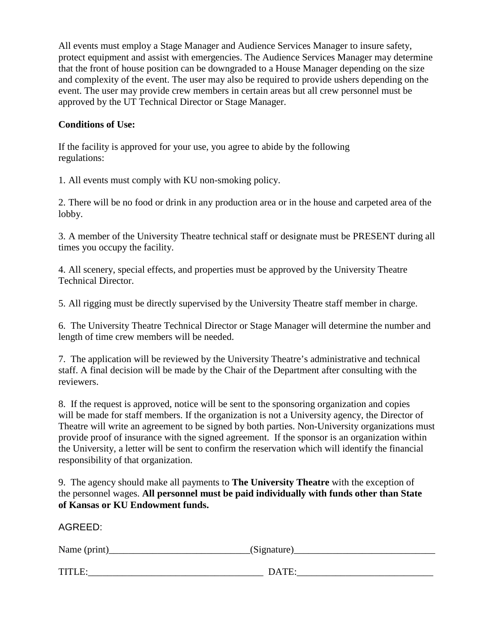All events must employ a Stage Manager and Audience Services Manager to insure safety, protect equipment and assist with emergencies. The Audience Services Manager may determine that the front of house position can be downgraded to a House Manager depending on the size and complexity of the event. The user may also be required to provide ushers depending on the event. The user may provide crew members in certain areas but all crew personnel must be approved by the UT Technical Director or Stage Manager.

## **Conditions of Use:**

If the facility is approved for your use, you agree to abide by the following regulations:

1. All events must comply with KU non-smoking policy.

2. There will be no food or drink in any production area or in the house and carpeted area of the lobby.

3. A member of the University Theatre technical staff or designate must be PRESENT during all times you occupy the facility.

4. All scenery, special effects, and properties must be approved by the University Theatre Technical Director.

5. All rigging must be directly supervised by the University Theatre staff member in charge.

6. The University Theatre Technical Director or Stage Manager will determine the number and length of time crew members will be needed.

7. The application will be reviewed by the University Theatre's administrative and technical staff. A final decision will be made by the Chair of the Department after consulting with the reviewers.

8. If the request is approved, notice will be sent to the sponsoring organization and copies will be made for staff members. If the organization is not a University agency, the Director of Theatre will write an agreement to be signed by both parties. Non-University organizations must provide proof of insurance with the signed agreement. If the sponsor is an organization within the University, a letter will be sent to confirm the reservation which will identify the financial responsibility of that organization.

9. The agency should make all payments to **The University Theatre** with the exception of the personnel wages. **All personnel must be paid individually with funds other than State of Kansas or KU Endowment funds.** 

# AGREED:

| Name (print) | (Signature) |  |
|--------------|-------------|--|
| TITLE:       | DATE:       |  |